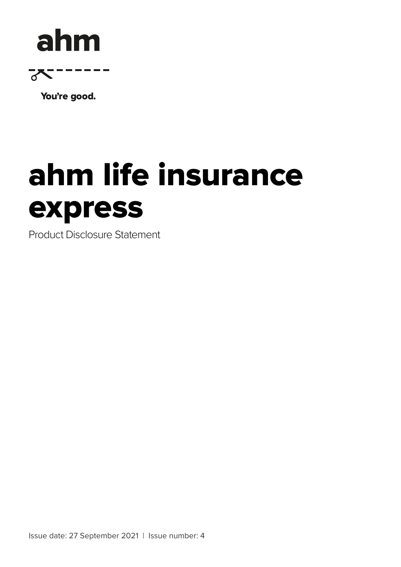## ahm



You're good.

# ahm life insurance<br>express

Product Disclosure Statement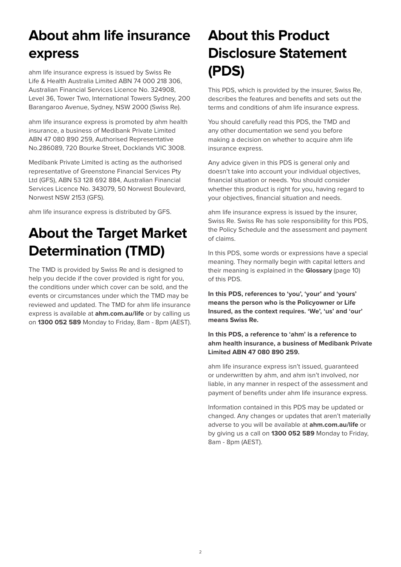## **About ahm life insurance express**

ahm life insurance express is issued by Swiss Re Life & Health Australia Limited ABN 74 000 218 306, Australian Financial Services Licence No. 324908, Level 36, Tower Two, International Towers Sydney, 200 Barangaroo Avenue, Sydney, NSW 2000 (Swiss Re).

ahm life insurance express is promoted by ahm health insurance, a business of Medibank Private Limited ABN 47 080 890 259, Authorised Representative No.286089, 720 Bourke Street, Docklands VIC 3008.

Medibank Private Limited is acting as the authorised representative of Greenstone Financial Services Pty Ltd (GFS), ABN 53 128 692 884, Australian Financial Services Licence No. 343079, 50 Norwest Boulevard, Norwest NSW 2153 (GFS).

ahm life insurance express is distributed by GFS.

## **About the Target Market Determination (TMD)**

The TMD is provided by Swiss Re and is designed to help you decide if the cover provided is right for you, the conditions under which cover can be sold, and the events or circumstances under which the TMD may be reviewed and updated. The TMD for ahm life insurance express is available at **ahm.com.au/life** or by calling us on **1300 052 589** Monday to Friday, 8am - 8pm (AEST).

## **About this Product Disclosure Statement (PDS)**

This PDS, which is provided by the insurer, Swiss Re, describes the features and benefits and sets out the terms and conditions of ahm life insurance express.

You should carefully read this PDS, the TMD and any other documentation we send you before making a decision on whether to acquire ahm life insurance express.

Any advice given in this PDS is general only and doesn't take into account your individual objectives, financial situation or needs. You should consider whether this product is right for you, having regard to your objectives, financial situation and needs.

ahm life insurance express is issued by the insurer, Swiss Re. Swiss Re has sole responsibility for this PDS, the Policy Schedule and the assessment and payment of claims.

In this PDS, some words or expressions have a special meaning. They normally begin with capital letters and their meaning is explained in the **Glossary** (page 10) of this PDS.

**In this PDS, references to 'you', 'your' and 'yours' means the person who is the Policyowner or Life Insured, as the context requires. 'We', 'us' and 'our' means Swiss Re.**

#### **In this PDS, a reference to 'ahm' is a reference to ahm health insurance, a business of Medibank Private Limited ABN 47 080 890 259.**

ahm life insurance express isn't issued, guaranteed or underwritten by ahm, and ahm isn't involved, nor liable, in any manner in respect of the assessment and payment of benefits under ahm life insurance express.

Information contained in this PDS may be updated or changed. Any changes or updates that aren't materially adverse to you will be available at **ahm.com.au/life** or by giving us a call on **1300 052 589** Monday to Friday, 8am - 8pm (AEST).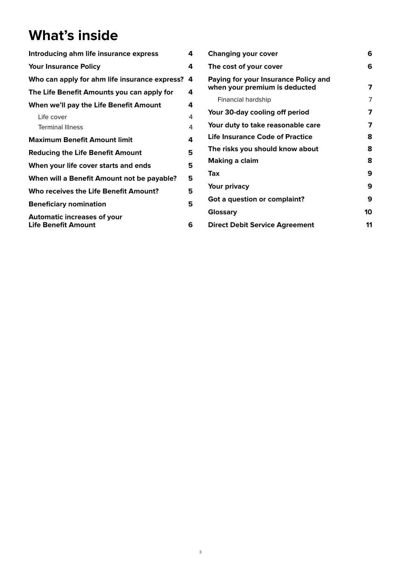## **What's inside**

| Introducing ahm life insurance express                           |   |  |
|------------------------------------------------------------------|---|--|
| <b>Your Insurance Policy</b>                                     | 4 |  |
| Who can apply for ahm life insurance express?<br>4               |   |  |
| The Life Benefit Amounts you can apply for                       | 4 |  |
| When we'll pay the Life Benefit Amount                           | 4 |  |
| Life cover                                                       | 4 |  |
| <b>Terminal Illness</b>                                          | 4 |  |
| <b>Maximum Benefit Amount limit</b>                              | 4 |  |
| <b>Reducing the Life Benefit Amount</b>                          |   |  |
| When your life cover starts and ends                             |   |  |
| When will a Benefit Amount not be payable?                       |   |  |
| Who receives the Life Benefit Amount?                            |   |  |
| <b>Beneficiary nomination</b>                                    | 5 |  |
| <b>Automatic increases of your</b><br><b>Life Benefit Amount</b> | 6 |  |

| <b>Changing your cover</b>                                            |    |
|-----------------------------------------------------------------------|----|
| The cost of your cover                                                | 6  |
| Paying for your Insurance Policy and<br>when your premium is deducted | 7  |
| Financial hardship                                                    | 7  |
| Your 30-day cooling off period                                        | 7  |
| Your duty to take reasonable care                                     | 7  |
| <b>Life Insurance Code of Practice</b>                                | 8  |
| The risks you should know about                                       | 8  |
| <b>Making a claim</b>                                                 |    |
| Tax                                                                   | 9  |
| Your privacy                                                          | 9  |
| Got a question or complaint?                                          | 9  |
| Glossary                                                              | 10 |
| <b>Direct Debit Service Agreement</b>                                 | 11 |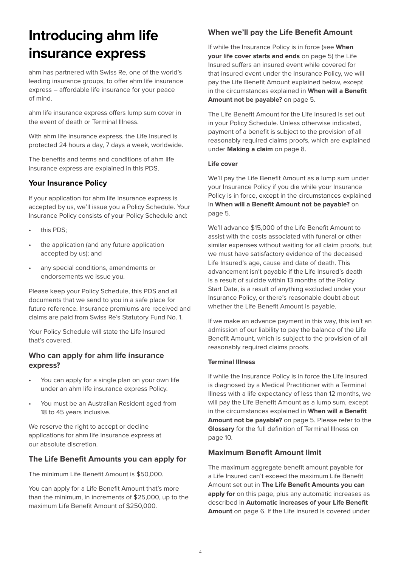## **Introducing ahm life insurance express**

ahm has partnered with Swiss Re, one of the world's leading insurance groups, to offer ahm life insurance express – affordable life insurance for your peace of mind.

ahm life insurance express offers lump sum cover in the event of death or Terminal Illness.

With ahm life insurance express, the Life Insured is protected 24 hours a day, 7 days a week, worldwide.

The benefits and terms and conditions of ahm life insurance express are explained in this PDS.

#### **Your Insurance Policy**

If your application for ahm life insurance express is accepted by us, we'll issue you a Policy Schedule. Your Insurance Policy consists of your Policy Schedule and:

- this PDS;
- the application (and any future application accepted by us); and
- any special conditions, amendments or endorsements we issue you.

Please keep your Policy Schedule, this PDS and all documents that we send to you in a safe place for future reference. Insurance premiums are received and claims are paid from Swiss Re's Statutory Fund No. 1.

Your Policy Schedule will state the Life Insured that's covered.

#### **Who can apply for ahm life insurance express?**

- You can apply for a single plan on your own life under an ahm life insurance express Policy.
- You must be an Australian Resident aged from 18 to 45 years inclusive.

We reserve the right to accept or decline applications for ahm life insurance express at our absolute discretion.

#### **The Life Benefit Amounts you can apply for**

The minimum Life Benefit Amount is \$50,000.

You can apply for a Life Benefit Amount that's more than the minimum, in increments of \$25,000, up to the maximum Life Benefit Amount of \$250,000.

#### **When we'll pay the Life Benefit Amount**

If while the Insurance Policy is in force (see **When your life cover starts and ends** on page 5) the Life Insured suffers an insured event while covered for that insured event under the Insurance Policy, we will pay the Life Benefit Amount explained below, except in the circumstances explained in **When will a Benefit Amount not be payable?** on page 5.

The Life Benefit Amount for the Life Insured is set out in your Policy Schedule. Unless otherwise indicated, payment of a benefit is subject to the provision of all reasonably required claims proofs, which are explained under **Making a claim** on page 8.

#### **Life cover**

We'll pay the Life Benefit Amount as a lump sum under your Insurance Policy if you die while your Insurance Policy is in force, except in the circumstances explained in **When will a Benefit Amount not be payable?** on page 5.

We'll advance \$15,000 of the Life Benefit Amount to assist with the costs associated with funeral or other similar expenses without waiting for all claim proofs, but we must have satisfactory evidence of the deceased Life Insured's age, cause and date of death. This advancement isn't payable if the Life Insured's death is a result of suicide within 13 months of the Policy Start Date, is a result of anything excluded under your Insurance Policy, or there's reasonable doubt about whether the Life Benefit Amount is payable.

If we make an advance payment in this way, this isn't an admission of our liability to pay the balance of the Life Benefit Amount, which is subject to the provision of all reasonably required claims proofs.

#### **Terminal Illness**

If while the Insurance Policy is in force the Life Insured is diagnosed by a Medical Practitioner with a Terminal Illness with a life expectancy of less than 12 months, we will pay the Life Benefit Amount as a lump sum, except in the circumstances explained in **When will a Benefit Amount not be payable?** on page 5. Please refer to the **Glossary** for the full definition of Terminal Illness on page 10.

#### **Maximum Benefit Amount limit**

The maximum aggregate benefit amount payable for a Life Insured can't exceed the maximum Life Benefit Amount set out in **The Life Benefit Amounts you can apply for** on this page, plus any automatic increases as described in **Automatic increases of your Life Benefit Amount** on page 6. If the Life Insured is covered under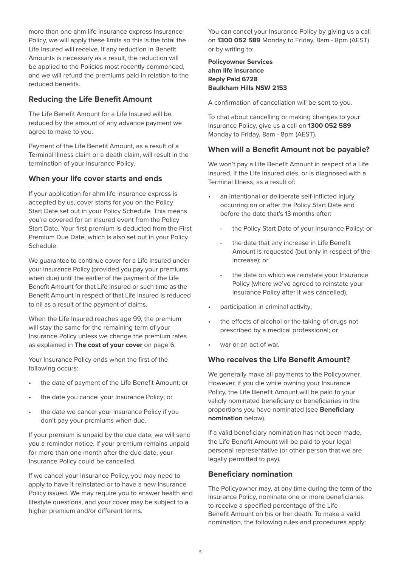more than one ahm life insurance express Insurance Policy, we will apply these limits so this is the total the Life Insured will receive. If any reduction in Benefit Amounts is necessary as a result, the reduction will be applied to the Policies most recently commenced, and we will refund the premiums paid in relation to the reduced benefits.

#### **Reducing the Life Benefit Amount**

The Life Benefit Amount for a Life Insured will be reduced by the amount of any advance payment we agree to make to you.

Payment of the Life Benefit Amount, as a result of a Terminal Illness claim or a death claim, will result in the termination of your Insurance Policy.

#### **When your life cover starts and ends**

If your application for ahm life insurance express is accepted by us, cover starts for you on the Policy Start Date set out in your Policy Schedule. This means you're covered for an insured event from the Policy Start Date. Your first premium is deducted from the First Premium Due Date, which is also set out in your Policy Schedule.

We guarantee to continue cover for a Life Insured under your Insurance Policy (provided you pay your premiums when due) until the earlier of the payment of the Life Benefit Amount for that Life Insured or such time as the Benefit Amount in respect of that Life Insured is reduced to nil as a result of the payment of claims.

When the Life Insured reaches age 99, the premium will stay the same for the remaining term of your Insurance Policy unless we change the premium rates as explained in **The cost of your cover** on page 6.

Your Insurance Policy ends when the first of the following occurs:

- the date of payment of the Life Benefit Amount; or
- the date you cancel your Insurance Policy; or
- the date we cancel your Insurance Policy if you don't pay your premiums when due.

If your premium is unpaid by the due date, we will send you a reminder notice. If your premium remains unpaid for more than one month after the due date, your Insurance Policy could be cancelled.

If we cancel your Insurance Policy, you may need to apply to have it reinstated or to have a new Insurance Policy issued. We may require you to answer health and lifestyle questions, and your cover may be subject to a higher premium and/or different terms.

You can cancel your Insurance Policy by giving us a call on **1300 052 589** Monday to Friday, 8am - 8pm (AEST) or by writing to:

#### **Policyowner Services ahm life insurance Reply Paid 6728 Baulkham Hills NSW 2153**

A confirmation of cancellation will be sent to you.

To chat about cancelling or making changes to your Insurance Policy, give us a call on **1300 052 589** Monday to Friday, 8am - 8pm (AEST).

#### **When will a Benefit Amount not be payable?**

We won't pay a Life Benefit Amount in respect of a Life Insured, if the Life Insured dies, or is diagnosed with a Terminal Illness, as a result of:

- an intentional or deliberate self-inflicted injury, occurring on or after the Policy Start Date and before the date that's 13 months after:
	- the Policy Start Date of your Insurance Policy; or
	- the date that any increase in Life Benefit Amount is requested (but only in respect of the increase); or
	- the date on which we reinstate your Insurance Policy (where we've agreed to reinstate your Insurance Policy after it was cancelled).
- participation in criminal activity;
- the effects of alcohol or the taking of drugs not prescribed by a medical professional; or
- war or an act of war.

#### **Who receives the Life Benefit Amount?**

We generally make all payments to the Policyowner. However, if you die while owning your Insurance Policy, the Life Benefit Amount will be paid to your validly nominated beneficiary or beneficiaries in the proportions you have nominated (see **Beneficiary nomination** below).

If a valid beneficiary nomination has not been made, the Life Benefit Amount will be paid to your legal personal representative (or other person that we are legally permitted to pay).

#### **Beneficiary nomination**

The Policyowner may, at any time during the term of the Insurance Policy, nominate one or more beneficiaries to receive a specified percentage of the Life Benefit Amount on his or her death. To make a valid nomination, the following rules and procedures apply: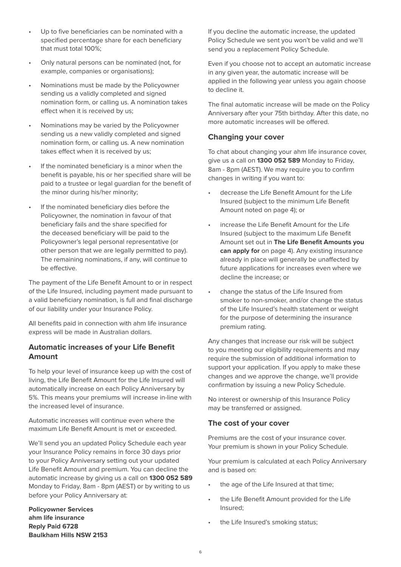- Up to five beneficiaries can be nominated with a specified percentage share for each beneficiary that must total 100%;
- Only natural persons can be nominated (not, for example, companies or organisations);
- Nominations must be made by the Policyowner sending us a validly completed and signed nomination form, or calling us. A nomination takes effect when it is received by us;
- Nominations may be varied by the Policyowner sending us a new validly completed and signed nomination form, or calling us. A new nomination takes effect when it is received by us;
- If the nominated beneficiary is a minor when the benefit is payable, his or her specified share will be paid to a trustee or legal guardian for the benefit of the minor during his/her minority;
- If the nominated beneficiary dies before the Policyowner, the nomination in favour of that beneficiary fails and the share specified for the deceased beneficiary will be paid to the Policyowner's legal personal representative (or other person that we are legally permitted to pay). The remaining nominations, if any, will continue to be effective.

The payment of the Life Benefit Amount to or in respect of the Life Insured, including payment made pursuant to a valid beneficiary nomination, is full and final discharge of our liability under your Insurance Policy.

All benefits paid in connection with ahm life insurance express will be made in Australian dollars.

#### **Automatic increases of your Life Benefit Amount**

To help your level of insurance keep up with the cost of living, the Life Benefit Amount for the Life Insured will automatically increase on each Policy Anniversary by 5%. This means your premiums will increase in-line with the increased level of insurance.

Automatic increases will continue even where the maximum Life Benefit Amount is met or exceeded.

We'll send you an updated Policy Schedule each year your Insurance Policy remains in force 30 days prior to your Policy Anniversary setting out your updated Life Benefit Amount and premium. You can decline the automatic increase by giving us a call on **1300 052 589** Monday to Friday, 8am - 8pm (AEST) or by writing to us before your Policy Anniversary at:

**Policyowner Services ahm life insurance Reply Paid 6728 Baulkham Hills NSW 2153**

If you decline the automatic increase, the updated Policy Schedule we sent you won't be valid and we'll send you a replacement Policy Schedule.

Even if you choose not to accept an automatic increase in any given year, the automatic increase will be applied in the following year unless you again choose to decline it.

The final automatic increase will be made on the Policy Anniversary after your 75th birthday. After this date, no more automatic increases will be offered.

#### **Changing your cover**

To chat about changing your ahm life insurance cover, give us a call on **1300 052 589** Monday to Friday, 8am - 8pm (AEST). We may require you to confirm changes in writing if you want to:

- decrease the Life Benefit Amount for the Life Insured (subject to the minimum Life Benefit Amount noted on page 4); or
- increase the Life Benefit Amount for the Life Insured (subject to the maximum Life Benefit Amount set out in **The Life Benefit Amounts you can apply for** on page 4). Any existing insurance already in place will generally be unaffected by future applications for increases even where we decline the increase; or
- change the status of the Life Insured from smoker to non-smoker, and/or change the status of the Life Insured's health statement or weight for the purpose of determining the insurance premium rating.

Any changes that increase our risk will be subject to you meeting our eligibility requirements and may require the submission of additional information to support your application. If you apply to make these changes and we approve the change, we'll provide confirmation by issuing a new Policy Schedule.

No interest or ownership of this Insurance Policy may be transferred or assigned.

#### **The cost of your cover**

Premiums are the cost of your insurance cover. Your premium is shown in your Policy Schedule.

Your premium is calculated at each Policy Anniversary and is based on:

- the age of the Life Insured at that time;
- the Life Benefit Amount provided for the Life Insured;
- the Life Insured's smoking status;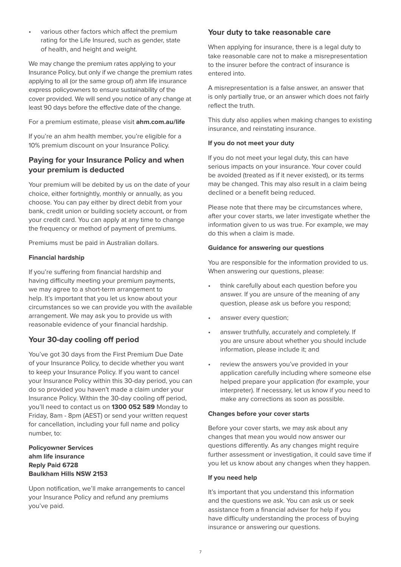• various other factors which affect the premium rating for the Life Insured, such as gender, state of health, and height and weight.

We may change the premium rates applying to your Insurance Policy, but only if we change the premium rates applying to all (or the same group of) ahm life insurance express policyowners to ensure sustainability of the cover provided. We will send you notice of any change at least 90 days before the effective date of the change.

#### For a premium estimate, please visit **ahm.com.au/life**

If you're an ahm health member, you're eligible for a 10% premium discount on your Insurance Policy.

#### **Paying for your Insurance Policy and when your premium is deducted**

Your premium will be debited by us on the date of your choice, either fortnightly, monthly or annually, as you choose. You can pay either by direct debit from your bank, credit union or building society account, or from your credit card. You can apply at any time to change the frequency or method of payment of premiums.

Premiums must be paid in Australian dollars.

#### **Financial hardship**

If you're suffering from financial hardship and having difficulty meeting your premium payments, we may agree to a short-term arrangement to help. It's important that you let us know about your circumstances so we can provide you with the available arrangement. We may ask you to provide us with reasonable evidence of your financial hardship.

#### **Your 30-day cooling off period**

You've got 30 days from the First Premium Due Date of your Insurance Policy, to decide whether you want to keep your Insurance Policy. If you want to cancel your Insurance Policy within this 30-day period, you can do so provided you haven't made a claim under your Insurance Policy. Within the 30-day cooling off period, you'll need to contact us on **1300 052 589** Monday to Friday, 8am - 8pm (AEST) or send your written request for cancellation, including your full name and policy number, to:

#### **Policyowner Services ahm life insurance Reply Paid 6728 Baulkham Hills NSW 2153**

Upon notification, we'll make arrangements to cancel your Insurance Policy and refund any premiums you've paid.

#### **Your duty to take reasonable care**

When applying for insurance, there is a legal duty to take reasonable care not to make a misrepresentation to the insurer before the contract of insurance is entered into.

A misrepresentation is a false answer, an answer that is only partially true, or an answer which does not fairly reflect the truth.

This duty also applies when making changes to existing insurance, and reinstating insurance.

#### **If you do not meet your duty**

If you do not meet your legal duty, this can have serious impacts on your insurance. Your cover could be avoided (treated as if it never existed), or its terms may be changed. This may also result in a claim being declined or a benefit being reduced.

Please note that there may be circumstances where, after your cover starts, we later investigate whether the information given to us was true. For example, we may do this when a claim is made.

#### **Guidance for answering our questions**

You are responsible for the information provided to us. When answering our questions, please:

- think carefully about each question before you answer. If you are unsure of the meaning of any question, please ask us before you respond;
- answer every question;
- answer truthfully, accurately and completely. If you are unsure about whether you should include information, please include it; and
- review the answers you've provided in your application carefully including where someone else helped prepare your application (for example, your interpreter). If necessary, let us know if you need to make any corrections as soon as possible.

#### **Changes before your cover starts**

Before your cover starts, we may ask about any changes that mean you would now answer our questions differently. As any changes might require further assessment or investigation, it could save time if you let us know about any changes when they happen.

#### **If you need help**

It's important that you understand this information and the questions we ask. You can ask us or seek assistance from a financial adviser for help if you have difficulty understanding the process of buying insurance or answering our questions.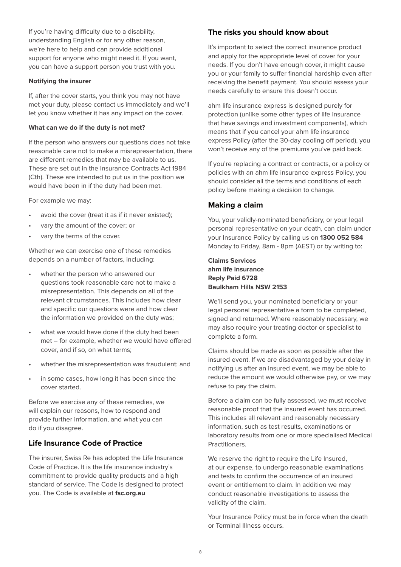If you're having difficulty due to a disability, understanding English or for any other reason, we're here to help and can provide additional support for anyone who might need it. If you want, you can have a support person you trust with you.

#### **Notifying the insurer**

If, after the cover starts, you think you may not have met your duty, please contact us immediately and we'll let you know whether it has any impact on the cover.

#### **What can we do if the duty is not met?**

If the person who answers our questions does not take reasonable care not to make a misrepresentation, there are different remedies that may be available to us. These are set out in the Insurance Contracts Act 1984 (Cth). These are intended to put us in the position we would have been in if the duty had been met.

For example we may:

- avoid the cover (treat it as if it never existed);
- vary the amount of the cover; or
- vary the terms of the cover.

Whether we can exercise one of these remedies depends on a number of factors, including:

- whether the person who answered our questions took reasonable care not to make a misrepresentation. This depends on all of the relevant circumstances. This includes how clear and specific our questions were and how clear the information we provided on the duty was;
- what we would have done if the duty had been met – for example, whether we would have offered cover, and if so, on what terms;
- whether the misrepresentation was fraudulent; and
- in some cases, how long it has been since the cover started.

Before we exercise any of these remedies, we will explain our reasons, how to respond and provide further information, and what you can do if you disagree.

#### **Life Insurance Code of Practice**

The insurer, Swiss Re has adopted the Life Insurance Code of Practice. It is the life insurance industry's commitment to provide quality products and a high standard of service. The Code is designed to protect you. The Code is available at **fsc.org.au**

#### **The risks you should know about**

It's important to select the correct insurance product and apply for the appropriate level of cover for your needs. If you don't have enough cover, it might cause you or your family to suffer financial hardship even after receiving the benefit payment. You should assess your needs carefully to ensure this doesn't occur.

ahm life insurance express is designed purely for protection (unlike some other types of life insurance that have savings and investment components), which means that if you cancel your ahm life insurance express Policy (after the 30-day cooling off period), you won't receive any of the premiums you've paid back.

If you're replacing a contract or contracts, or a policy or policies with an ahm life insurance express Policy, you should consider all the terms and conditions of each policy before making a decision to change.

#### **Making a claim**

You, your validly-nominated beneficiary, or your legal personal representative on your death, can claim under your Insurance Policy by calling us on **1300 052 584** Monday to Friday, 8am - 8pm (AEST) or by writing to:

#### **Claims Services ahm life insurance Reply Paid 6728 Baulkham Hills NSW 2153**

We'll send you, your nominated beneficiary or your legal personal representative a form to be completed, signed and returned. Where reasonably necessary, we may also require your treating doctor or specialist to complete a form.

Claims should be made as soon as possible after the insured event. If we are disadvantaged by your delay in notifying us after an insured event, we may be able to reduce the amount we would otherwise pay, or we may refuse to pay the claim.

Before a claim can be fully assessed, we must receive reasonable proof that the insured event has occurred. This includes all relevant and reasonably necessary information, such as test results, examinations or laboratory results from one or more specialised Medical Practitioners.

We reserve the right to require the Life Insured, at our expense, to undergo reasonable examinations and tests to confirm the occurrence of an insured event or entitlement to claim. In addition we may conduct reasonable investigations to assess the validity of the claim.

Your Insurance Policy must be in force when the death or Terminal Illness occurs.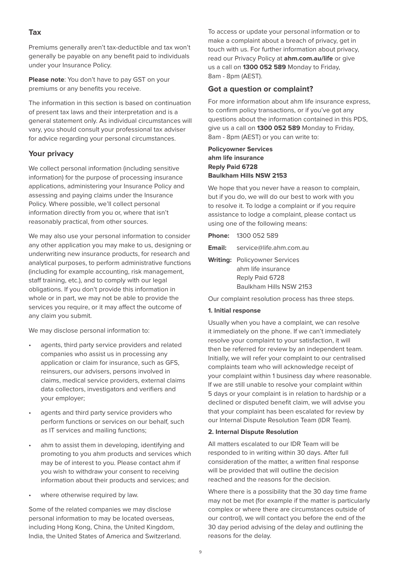#### **Tax**

Premiums generally aren't tax-deductible and tax won't generally be payable on any benefit paid to individuals under your Insurance Policy.

**Please note**: You don't have to pay GST on your premiums or any benefits you receive.

The information in this section is based on continuation of present tax laws and their interpretation and is a general statement only. As individual circumstances will vary, you should consult your professional tax adviser for advice regarding your personal circumstances.

#### **Your privacy**

We collect personal information (including sensitive information) for the purpose of processing insurance applications, administering your Insurance Policy and assessing and paying claims under the Insurance Policy. Where possible, we'll collect personal information directly from you or, where that isn't reasonably practical, from other sources.

We may also use your personal information to consider any other application you may make to us, designing or underwriting new insurance products, for research and analytical purposes, to perform administrative functions (including for example accounting, risk management, staff training, etc.), and to comply with our legal obligations. If you don't provide this information in whole or in part, we may not be able to provide the services you require, or it may affect the outcome of any claim you submit.

We may disclose personal information to:

- agents, third party service providers and related companies who assist us in processing any application or claim for insurance, such as GFS, reinsurers, our advisers, persons involved in claims, medical service providers, external claims data collectors, investigators and verifiers and your employer;
- agents and third party service providers who perform functions or services on our behalf, such as IT services and mailing functions;
- ahm to assist them in developing, identifying and promoting to you ahm products and services which may be of interest to you. Please contact ahm if you wish to withdraw your consent to receiving information about their products and services; and
- where otherwise required by law.

Some of the related companies we may disclose personal information to may be located overseas, including Hong Kong, China, the United Kingdom, India, the United States of America and Switzerland. To access or update your personal information or to make a complaint about a breach of privacy, get in touch with us. For further information about privacy, read our Privacy Policy at **ahm.com.au/life** or give us a call on **1300 052 589** Monday to Friday, 8am - 8pm (AEST).

#### **Got a question or complaint?**

For more information about ahm life insurance express, to confirm policy transactions, or if you've got any questions about the information contained in this PDS, give us a call on **1300 052 589** Monday to Friday, 8am - 8pm (AEST) or you can write to:

#### **Policyowner Services ahm life insurance Reply Paid 6728 Baulkham Hills NSW 2153**

We hope that you never have a reason to complain, but if you do, we will do our best to work with you to resolve it. To lodge a complaint or if you require assistance to lodge a complaint, please contact us using one of the following means:

|        | <b>Phone: 1300 052 589</b>                                                                               |
|--------|----------------------------------------------------------------------------------------------------------|
| Email: | service@life.ahm.com.au                                                                                  |
|        | <b>Writing:</b> Policyowner Services<br>ahm life insurance<br>Reply Paid 6728<br>Baulkham Hills NSW 2153 |

Our complaint resolution process has three steps.

#### **1. Initial response**

Usually when you have a complaint, we can resolve it immediately on the phone. If we can't immediately resolve your complaint to your satisfaction, it will then be referred for review by an independent team. Initially, we will refer your complaint to our centralised complaints team who will acknowledge receipt of your complaint within 1 business day where reasonable. If we are still unable to resolve your complaint within 5 days or your complaint is in relation to hardship or a declined or disputed benefit claim, we will advise you that your complaint has been escalated for review by our Internal Dispute Resolution Team (IDR Team).

#### **2. Internal Dispute Resolution**

All matters escalated to our IDR Team will be responded to in writing within 30 days. After full consideration of the matter, a written final response will be provided that will outline the decision reached and the reasons for the decision.

Where there is a possibility that the 30 day time frame may not be met (for example if the matter is particularly complex or where there are circumstances outside of our control), we will contact you before the end of the 30 day period advising of the delay and outlining the reasons for the delay.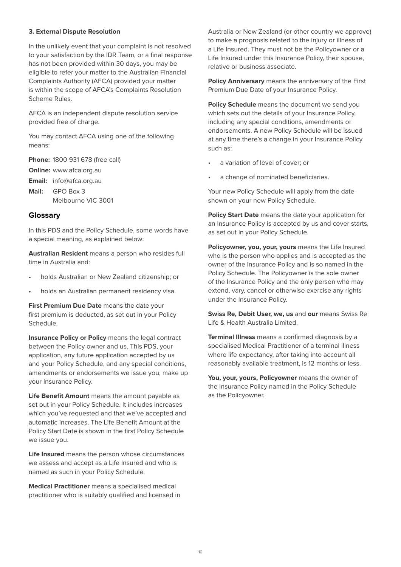#### **3. External Dispute Resolution**

In the unlikely event that your complaint is not resolved to your satisfaction by the IDR Team, or a final response has not been provided within 30 days, you may be eligible to refer your matter to the Australian Financial Complaints Authority (AFCA) provided your matter is within the scope of AFCA's Complaints Resolution Scheme Rules.

AFCA is an independent dispute resolution service provided free of charge.

You may contact AFCA using one of the following means:

**Phone:** 1800 931 678 (free call)

**Online:** www.afca.org.au

**Email:** info@afca.org.au

**Mail:** GPO Box 3 Melbourne VIC 3001

#### **Glossary**

In this PDS and the Policy Schedule, some words have a special meaning, as explained below:

**Australian Resident** means a person who resides full time in Australia and:

- holds Australian or New Zealand citizenship; or
- holds an Australian permanent residency visa.

**First Premium Due Date** means the date your first premium is deducted, as set out in your Policy Schedule.

**Insurance Policy or Policy** means the legal contract between the Policy owner and us. This PDS, your application, any future application accepted by us and your Policy Schedule, and any special conditions, amendments or endorsements we issue you, make up your Insurance Policy.

**Life Benefit Amount** means the amount payable as set out in your Policy Schedule. It includes increases which you've requested and that we've accepted and automatic increases. The Life Benefit Amount at the Policy Start Date is shown in the first Policy Schedule we issue you.

**Life Insured** means the person whose circumstances we assess and accept as a Life Insured and who is named as such in your Policy Schedule.

**Medical Practitioner** means a specialised medical practitioner who is suitably qualified and licensed in

Australia or New Zealand (or other country we approve) to make a prognosis related to the injury or illness of a Life Insured. They must not be the Policyowner or a Life Insured under this Insurance Policy, their spouse, relative or business associate.

**Policy Anniversary** means the anniversary of the First Premium Due Date of your Insurance Policy.

**Policy Schedule** means the document we send you which sets out the details of your Insurance Policy, including any special conditions, amendments or endorsements. A new Policy Schedule will be issued at any time there's a change in your Insurance Policy such as:

- a variation of level of cover; or
- a change of nominated beneficiaries.

Your new Policy Schedule will apply from the date shown on your new Policy Schedule.

**Policy Start Date** means the date your application for an Insurance Policy is accepted by us and cover starts, as set out in your Policy Schedule.

**Policyowner, you, your, yours** means the Life Insured who is the person who applies and is accepted as the owner of the Insurance Policy and is so named in the Policy Schedule. The Policyowner is the sole owner of the Insurance Policy and the only person who may extend, vary, cancel or otherwise exercise any rights under the Insurance Policy.

**Swiss Re, Debit User, we, us** and **our** means Swiss Re Life & Health Australia Limited.

**Terminal Illness** means a confirmed diagnosis by a specialised Medical Practitioner of a terminal illness where life expectancy, after taking into account all reasonably available treatment, is 12 months or less.

**You, your, yours, Policyowner** means the owner of the Insurance Policy named in the Policy Schedule as the Policyowner.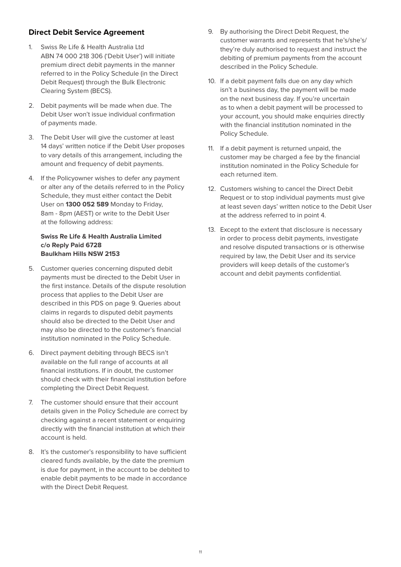#### **Direct Debit Service Agreement**

- 1. Swiss Re Life & Health Australia Ltd ABN 74 000 218 306 ('Debit User') will initiate premium direct debit payments in the manner referred to in the Policy Schedule (in the Direct Debit Request) through the Bulk Electronic Clearing System (BECS).
- 2. Debit payments will be made when due. The Debit User won't issue individual confirmation of payments made.
- 3. The Debit User will give the customer at least 14 days' written notice if the Debit User proposes to vary details of this arrangement, including the amount and frequency of debit payments.
- 4. If the Policyowner wishes to defer any payment or alter any of the details referred to in the Policy Schedule, they must either contact the Debit User on **1300 052 589** Monday to Friday, 8am - 8pm (AEST) or write to the Debit User at the following address:

#### **Swiss Re Life & Health Australia Limited c/o Reply Paid 6728 Baulkham Hills NSW 2153**

- 5. Customer queries concerning disputed debit payments must be directed to the Debit User in the first instance. Details of the dispute resolution process that applies to the Debit User are described in this PDS on page 9. Queries about claims in regards to disputed debit payments should also be directed to the Debit User and may also be directed to the customer's financial institution nominated in the Policy Schedule.
- 6. Direct payment debiting through BECS isn't available on the full range of accounts at all financial institutions. If in doubt, the customer should check with their financial institution before completing the Direct Debit Request.
- 7. The customer should ensure that their account details given in the Policy Schedule are correct by checking against a recent statement or enquiring directly with the financial institution at which their account is held.
- 8. It's the customer's responsibility to have sufficient cleared funds available, by the date the premium is due for payment, in the account to be debited to enable debit payments to be made in accordance with the Direct Debit Request.
- 9. By authorising the Direct Debit Request, the customer warrants and represents that he's/she's/ they're duly authorised to request and instruct the debiting of premium payments from the account described in the Policy Schedule.
- 10. If a debit payment falls due on any day which isn't a business day, the payment will be made on the next business day. If you're uncertain as to when a debit payment will be processed to your account, you should make enquiries directly with the financial institution nominated in the Policy Schedule.
- 11. If a debit payment is returned unpaid, the customer may be charged a fee by the financial institution nominated in the Policy Schedule for each returned item.
- 12. Customers wishing to cancel the Direct Debit Request or to stop individual payments must give at least seven days' written notice to the Debit User at the address referred to in point 4.
- 13. Except to the extent that disclosure is necessary in order to process debit payments, investigate and resolve disputed transactions or is otherwise required by law, the Debit User and its service providers will keep details of the customer's account and debit payments confidential.